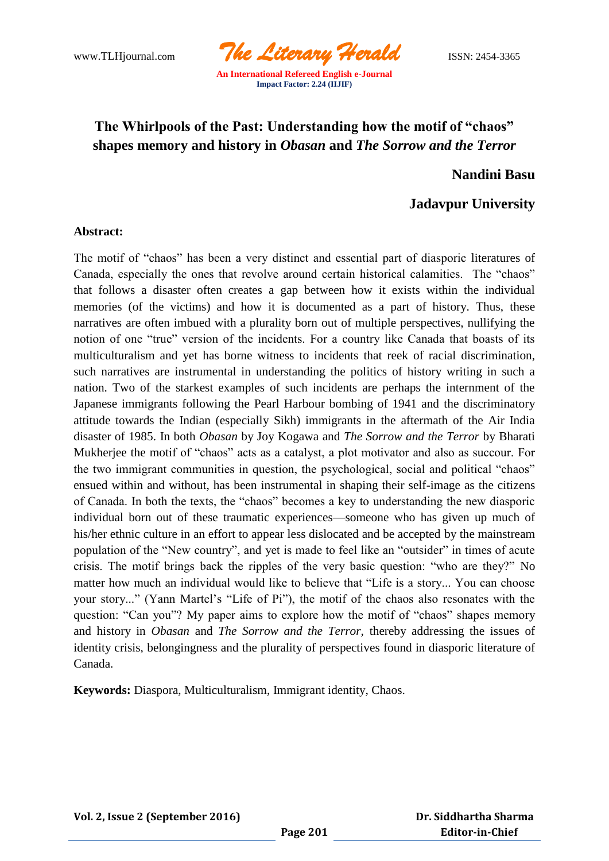

**Impact Factor: 2.24 (IIJIF)**

# **The Whirlpools of the Past: Understanding how the motif of "chaos" shapes memory and history in** *Obasan* **and** *The Sorrow and the Terror*

**Nandini Basu**

## **Jadavpur University**

### **Abstract:**

The motif of "chaos" has been a very distinct and essential part of diasporic literatures of Canada, especially the ones that revolve around certain historical calamities. The "chaos" that follows a disaster often creates a gap between how it exists within the individual memories (of the victims) and how it is documented as a part of history. Thus, these narratives are often imbued with a plurality born out of multiple perspectives, nullifying the notion of one "true" version of the incidents. For a country like Canada that boasts of its multiculturalism and yet has borne witness to incidents that reek of racial discrimination, such narratives are instrumental in understanding the politics of history writing in such a nation. Two of the starkest examples of such incidents are perhaps the internment of the Japanese immigrants following the Pearl Harbour bombing of 1941 and the discriminatory attitude towards the Indian (especially Sikh) immigrants in the aftermath of the Air India disaster of 1985. In both *Obasan* by Joy Kogawa and *The Sorrow and the Terror* by Bharati Mukherjee the motif of "chaos" acts as a catalyst, a plot motivator and also as succour. For the two immigrant communities in question, the psychological, social and political "chaos" ensued within and without, has been instrumental in shaping their self-image as the citizens of Canada. In both the texts, the "chaos" becomes a key to understanding the new diasporic individual born out of these traumatic experiences—someone who has given up much of his/her ethnic culture in an effort to appear less dislocated and be accepted by the mainstream population of the "New country", and yet is made to feel like an "outsider" in times of acute crisis. The motif brings back the ripples of the very basic question: "who are they?" No matter how much an individual would like to believe that "Life is a story... You can choose your story..." (Yann Martel's "Life of Pi"), the motif of the chaos also resonates with the question: "Can you"? My paper aims to explore how the motif of "chaos" shapes memory and history in *Obasan* and *The Sorrow and the Terror,* thereby addressing the issues of identity crisis, belongingness and the plurality of perspectives found in diasporic literature of Canada.

**Keywords:** Diaspora, Multiculturalism, Immigrant identity, Chaos.

**Vol. 2, Issue 2 (September 2016)**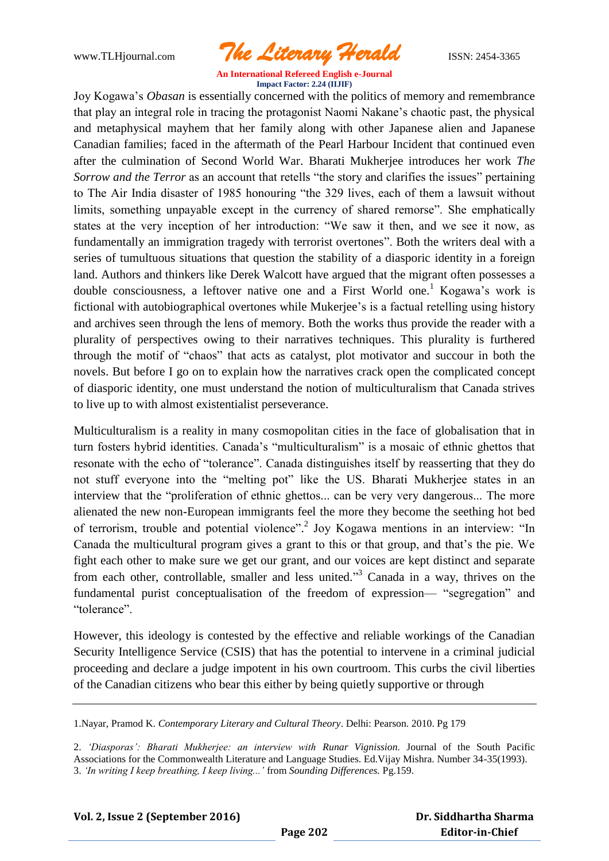www.TLHjournal.com *The Literary Herald*ISSN: 2454-3365

Joy Kogawa's *Obasan* is essentially concerned with the politics of memory and remembrance that play an integral role in tracing the protagonist Naomi Nakane's chaotic past, the physical and metaphysical mayhem that her family along with other Japanese alien and Japanese Canadian families; faced in the aftermath of the Pearl Harbour Incident that continued even after the culmination of Second World War. Bharati Mukherjee introduces her work *The Sorrow and the Terror* as an account that retells "the story and clarifies the issues" pertaining to The Air India disaster of 1985 honouring "the 329 lives, each of them a lawsuit without limits, something unpayable except in the currency of shared remorse". She emphatically states at the very inception of her introduction: "We saw it then, and we see it now, as fundamentally an immigration tragedy with terrorist overtones". Both the writers deal with a series of tumultuous situations that question the stability of a diasporic identity in a foreign land. Authors and thinkers like Derek Walcott have argued that the migrant often possesses a double consciousness, a leftover native one and a First World one.<sup>1</sup> Kogawa's work is fictional with autobiographical overtones while Mukerjee's is a factual retelling using history and archives seen through the lens of memory. Both the works thus provide the reader with a plurality of perspectives owing to their narratives techniques. This plurality is furthered through the motif of "chaos" that acts as catalyst, plot motivator and succour in both the novels. But before I go on to explain how the narratives crack open the complicated concept of diasporic identity, one must understand the notion of multiculturalism that Canada strives to live up to with almost existentialist perseverance.

Multiculturalism is a reality in many cosmopolitan cities in the face of globalisation that in turn fosters hybrid identities. Canada's "multiculturalism" is a mosaic of ethnic ghettos that resonate with the echo of "tolerance". Canada distinguishes itself by reasserting that they do not stuff everyone into the "melting pot" like the US. Bharati Mukherjee states in an interview that the "proliferation of ethnic ghettos... can be very very dangerous... The more alienated the new non-European immigrants feel the more they become the seething hot bed of terrorism, trouble and potential violence".<sup>2</sup> Joy Kogawa mentions in an interview: "In Canada the multicultural program gives a grant to this or that group, and that's the pie. We fight each other to make sure we get our grant, and our voices are kept distinct and separate from each other, controllable, smaller and less united.<sup>33</sup> Canada in a way, thrives on the fundamental purist conceptualisation of the freedom of expression— "segregation" and "tolerance".

However, this ideology is contested by the effective and reliable workings of the Canadian Security Intelligence Service (CSIS) that has the potential to intervene in a criminal judicial proceeding and declare a judge impotent in his own courtroom. This curbs the civil liberties of the Canadian citizens who bear this either by being quietly supportive or through

<sup>1.</sup>Nayar, Pramod K. *Contemporary Literary and Cultural Theory*. Delhi: Pearson. 2010. Pg 179

<sup>2.</sup> *"Diasporas": Bharati Mukherjee: an interview with Runar Vignission.* Journal of the South Pacific Associations for the Commonwealth Literature and Language Studies. Ed.Vijay Mishra. Number 34-35(1993). 3. *"In writing I keep breathing, I keep living..."* from *Sounding Differences.* Pg.159.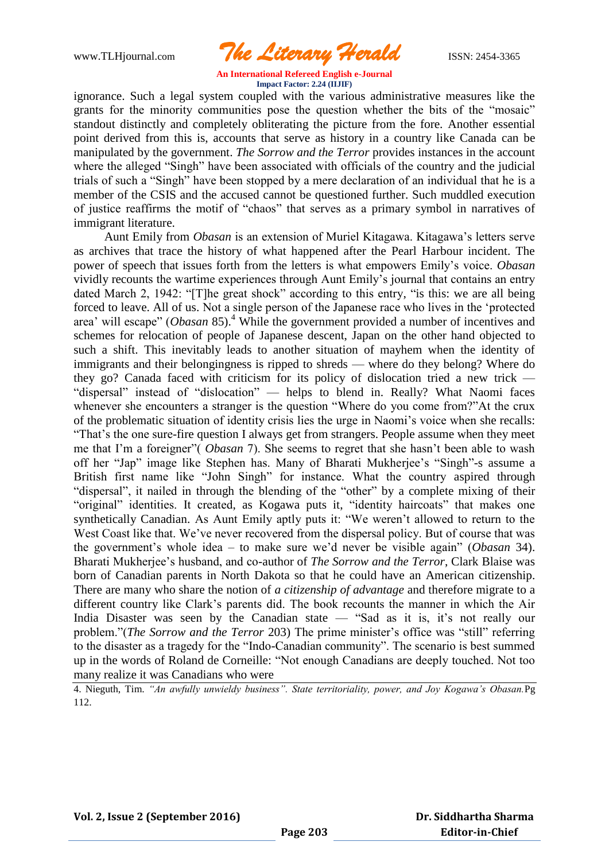www.TLHjournal.com *The Literary Herald*ISSN: 2454-3365

ignorance. Such a legal system coupled with the various administrative measures like the grants for the minority communities pose the question whether the bits of the "mosaic" standout distinctly and completely obliterating the picture from the fore. Another essential point derived from this is, accounts that serve as history in a country like Canada can be manipulated by the government. *The Sorrow and the Terror* provides instances in the account where the alleged "Singh" have been associated with officials of the country and the judicial trials of such a "Singh" have been stopped by a mere declaration of an individual that he is a member of the CSIS and the accused cannot be questioned further. Such muddled execution of justice reaffirms the motif of "chaos" that serves as a primary symbol in narratives of immigrant literature.

 Aunt Emily from *Obasan* is an extension of Muriel Kitagawa. Kitagawa's letters serve as archives that trace the history of what happened after the Pearl Harbour incident. The power of speech that issues forth from the letters is what empowers Emily's voice. *Obasan* vividly recounts the wartime experiences through Aunt Emily's journal that contains an entry dated March 2, 1942: "[T]he great shock" according to this entry, "is this: we are all being forced to leave. All of us. Not a single person of the Japanese race who lives in the 'protected area' will escape" (*Obasan* 85).<sup>4</sup> While the government provided a number of incentives and schemes for relocation of people of Japanese descent, Japan on the other hand objected to such a shift. This inevitably leads to another situation of mayhem when the identity of immigrants and their belongingness is ripped to shreds — where do they belong? Where do they go? Canada faced with criticism for its policy of dislocation tried a new trick — "dispersal" instead of "dislocation" — helps to blend in. Really? What Naomi faces whenever she encounters a stranger is the question "Where do you come from?"At the crux of the problematic situation of identity crisis lies the urge in Naomi's voice when she recalls: ―That's the one sure-fire question I always get from strangers. People assume when they meet me that I'm a foreigner" (*Obasan 7*). She seems to regret that she hasn't been able to wash off her "Jap" image like Stephen has. Many of Bharati Mukherjee's "Singh"-s assume a British first name like "John Singh" for instance. What the country aspired through "dispersal", it nailed in through the blending of the "other" by a complete mixing of their "original" identities. It created, as Kogawa puts it, "identity haircoats" that makes one synthetically Canadian. As Aunt Emily aptly puts it: "We weren't allowed to return to the West Coast like that. We've never recovered from the dispersal policy. But of course that was the government's whole idea – to make sure we'd never be visible again" (*Obasan* 34). Bharati Mukherjee's husband, and co-author of *The Sorrow and the Terror*, Clark Blaise was born of Canadian parents in North Dakota so that he could have an American citizenship. There are many who share the notion of *a citizenship of advantage* and therefore migrate to a different country like Clark's parents did. The book recounts the manner in which the Air India Disaster was seen by the Canadian state  $-$  "Sad as it is, it's not really our problem."(*The Sorrow and the Terror* 203) The prime minister's office was "still" referring to the disaster as a tragedy for the "Indo-Canadian community". The scenario is best summed up in the words of Roland de Corneille: "Not enough Canadians are deeply touched. Not too many realize it was Canadians who were

4. Nieguth, Tim. *"An awfully unwieldy business". State territoriality, power, and Joy Kogawa"s Obasan.*Pg 112.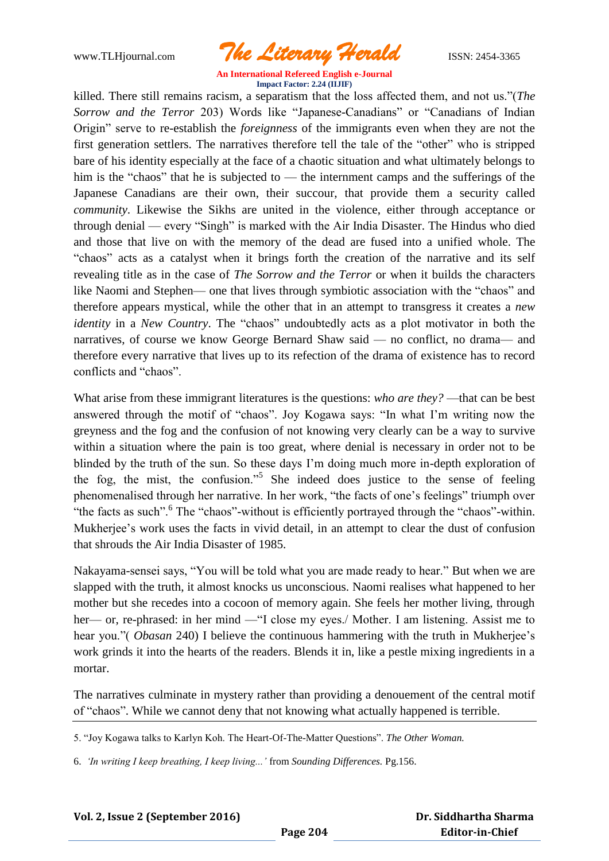www.TLHjournal.com *The Literary Herald*ISSN: 2454-3365

killed. There still remains racism, a separatism that the loss affected them, and not us."(*The Sorrow and the Terror* 203) Words like "Japanese-Canadians" or "Canadians of Indian Origin" serve to re-establish the *foreignness* of the immigrants even when they are not the first generation settlers. The narratives therefore tell the tale of the "other" who is stripped bare of his identity especially at the face of a chaotic situation and what ultimately belongs to him is the "chaos" that he is subjected to — the internment camps and the sufferings of the Japanese Canadians are their own, their succour, that provide them a security called *community*. Likewise the Sikhs are united in the violence, either through acceptance or  $through\,denial$  — every "Singh" is marked with the Air India Disaster. The Hindus who died and those that live on with the memory of the dead are fused into a unified whole. The ―chaos‖ acts as a catalyst when it brings forth the creation of the narrative and its self revealing title as in the case of *The Sorrow and the Terror* or when it builds the characters like Naomi and Stephen— one that lives through symbiotic association with the "chaos" and therefore appears mystical, while the other that in an attempt to transgress it creates a *new identity* in a *New Country*. The "chaos" undoubtedly acts as a plot motivator in both the narratives, of course we know George Bernard Shaw said — no conflict, no drama— and therefore every narrative that lives up to its refection of the drama of existence has to record conflicts and "chaos"

What arise from these immigrant literatures is the questions: *who are they?* —that can be best answered through the motif of "chaos". Joy Kogawa says: "In what I'm writing now the greyness and the fog and the confusion of not knowing very clearly can be a way to survive within a situation where the pain is too great, where denial is necessary in order not to be blinded by the truth of the sun. So these days I'm doing much more in-depth exploration of the fog, the mist, the confusion."<sup>5</sup> She indeed does justice to the sense of feeling phenomenalised through her narrative. In her work, "the facts of one's feelings" triumph over "the facts as such". <sup>6</sup> The "chaos"-without is efficiently portrayed through the "chaos"-within. Mukherjee's work uses the facts in vivid detail, in an attempt to clear the dust of confusion that shrouds the Air India Disaster of 1985.

Nakayama-sensei says, "You will be told what you are made ready to hear." But when we are slapped with the truth, it almost knocks us unconscious. Naomi realises what happened to her mother but she recedes into a cocoon of memory again. She feels her mother living, through her— or, re-phrased: in her mind — "I close my eyes./ Mother. I am listening. Assist me to hear you." (*Obasan* 240) I believe the continuous hammering with the truth in Mukherjee's work grinds it into the hearts of the readers. Blends it in, like a pestle mixing ingredients in a mortar.

The narratives culminate in mystery rather than providing a denouement of the central motif of "chaos". While we cannot deny that not knowing what actually happened is terrible.

5. "Joy Kogawa talks to Karlyn Koh. The Heart-Of-The-Matter Questions". *The Other Woman.* 

6. *"In writing I keep breathing, I keep living..."* from *Sounding Differences.* Pg.156.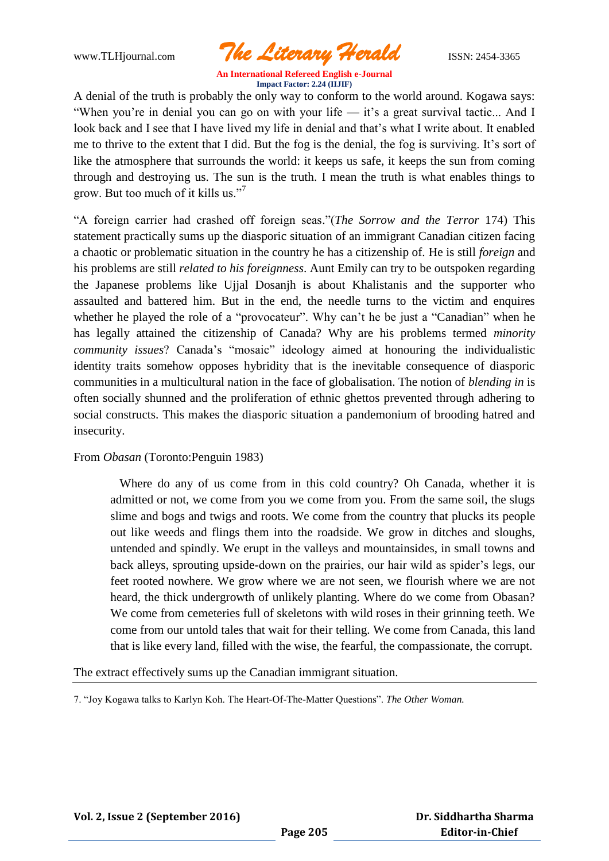www.TLHjournal.com *The Literary Herald*ISSN: 2454-3365

A denial of the truth is probably the only way to conform to the world around. Kogawa says: "When you're in denial you can go on with your life — it's a great survival tactic... And I look back and I see that I have lived my life in denial and that's what I write about. It enabled me to thrive to the extent that I did. But the fog is the denial, the fog is surviving. It's sort of like the atmosphere that surrounds the world: it keeps us safe, it keeps the sun from coming through and destroying us. The sun is the truth. I mean the truth is what enables things to grow. But too much of it kills us."<sup>7</sup>

―A foreign carrier had crashed off foreign seas.‖(*The Sorrow and the Terror* 174) This statement practically sums up the diasporic situation of an immigrant Canadian citizen facing a chaotic or problematic situation in the country he has a citizenship of. He is still *foreign* and his problems are still *related to his foreignness*. Aunt Emily can try to be outspoken regarding the Japanese problems like Ujjal Dosanjh is about Khalistanis and the supporter who assaulted and battered him. But in the end, the needle turns to the victim and enquires whether he played the role of a "provocateur". Why can't he be just a "Canadian" when he has legally attained the citizenship of Canada? Why are his problems termed *minority community issues*? Canada's "mosaic" ideology aimed at honouring the individualistic identity traits somehow opposes hybridity that is the inevitable consequence of diasporic communities in a multicultural nation in the face of globalisation. The notion of *blending in* is often socially shunned and the proliferation of ethnic ghettos prevented through adhering to social constructs. This makes the diasporic situation a pandemonium of brooding hatred and insecurity.

## From *Obasan* (Toronto:Penguin 1983)

 Where do any of us come from in this cold country? Oh Canada, whether it is admitted or not, we come from you we come from you. From the same soil, the slugs slime and bogs and twigs and roots. We come from the country that plucks its people out like weeds and flings them into the roadside. We grow in ditches and sloughs, untended and spindly. We erupt in the valleys and mountainsides, in small towns and back alleys, sprouting upside-down on the prairies, our hair wild as spider's legs, our feet rooted nowhere. We grow where we are not seen, we flourish where we are not heard, the thick undergrowth of unlikely planting. Where do we come from Obasan? We come from cemeteries full of skeletons with wild roses in their grinning teeth. We come from our untold tales that wait for their telling. We come from Canada, this land that is like every land, filled with the wise, the fearful, the compassionate, the corrupt.

The extract effectively sums up the Canadian immigrant situation.

7. "Jov Kogawa talks to Karlyn Koh. The Heart-Of-The-Matter Questions". The Other Woman.